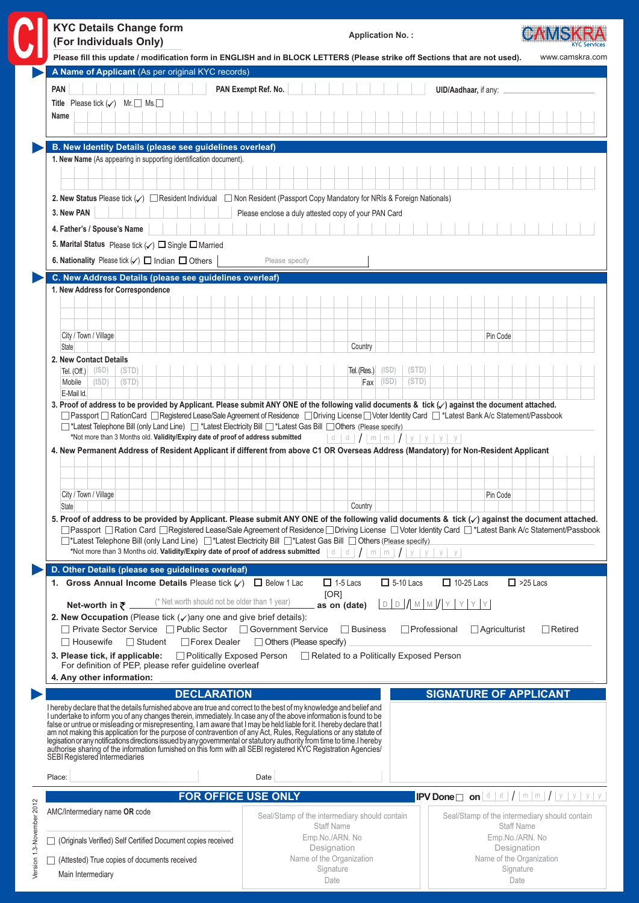| <b>KYC Details Change form</b><br>(For Individuals Only)                                                                                                                                                                                                                                                                                                                                                                                                                              | <b>Application No.:</b>                                                                                                                                                                                                                                                                                                                      |                                               |
|---------------------------------------------------------------------------------------------------------------------------------------------------------------------------------------------------------------------------------------------------------------------------------------------------------------------------------------------------------------------------------------------------------------------------------------------------------------------------------------|----------------------------------------------------------------------------------------------------------------------------------------------------------------------------------------------------------------------------------------------------------------------------------------------------------------------------------------------|-----------------------------------------------|
|                                                                                                                                                                                                                                                                                                                                                                                                                                                                                       | Please fill this update / modification form in ENGLISH and in BLOCK LETTERS (Please strike off Sections that are not used).                                                                                                                                                                                                                  | www.camskra.com                               |
| A Name of Applicant (As per original KYC records)<br><b>PAN</b>                                                                                                                                                                                                                                                                                                                                                                                                                       | PAN Exempt Ref. No.                                                                                                                                                                                                                                                                                                                          |                                               |
| Title Please tick $(\checkmark)$ Mr. $\Box$ Ms.                                                                                                                                                                                                                                                                                                                                                                                                                                       | UID/Aadhaar, if any:                                                                                                                                                                                                                                                                                                                         |                                               |
| Name                                                                                                                                                                                                                                                                                                                                                                                                                                                                                  |                                                                                                                                                                                                                                                                                                                                              |                                               |
| B. New Identity Details (please see guidelines overleaf)                                                                                                                                                                                                                                                                                                                                                                                                                              |                                                                                                                                                                                                                                                                                                                                              |                                               |
| 1. New Name (As appearing in supporting identification document).                                                                                                                                                                                                                                                                                                                                                                                                                     |                                                                                                                                                                                                                                                                                                                                              |                                               |
| 3. New PAN                                                                                                                                                                                                                                                                                                                                                                                                                                                                            | 2. New Status Please tick (√) EResident Individual E Non Resident (Passport Copy Mandatory for NRIs & Foreign Nationals)<br>Please enclose a duly attested copy of your PAN Card                                                                                                                                                             |                                               |
| 4. Father's / Spouse's Name                                                                                                                                                                                                                                                                                                                                                                                                                                                           |                                                                                                                                                                                                                                                                                                                                              |                                               |
| 5. Marital Status Please tick $(\checkmark)$ $\square$ Single $\square$ Married                                                                                                                                                                                                                                                                                                                                                                                                       |                                                                                                                                                                                                                                                                                                                                              |                                               |
| 6. Nationality Please tick $(\checkmark)$ $\Box$ Indian $\Box$ Others                                                                                                                                                                                                                                                                                                                                                                                                                 | Please specify                                                                                                                                                                                                                                                                                                                               |                                               |
| C. New Address Details (please see guidelines overleaf)                                                                                                                                                                                                                                                                                                                                                                                                                               |                                                                                                                                                                                                                                                                                                                                              |                                               |
| 1. New Address for Correspondence                                                                                                                                                                                                                                                                                                                                                                                                                                                     |                                                                                                                                                                                                                                                                                                                                              |                                               |
|                                                                                                                                                                                                                                                                                                                                                                                                                                                                                       |                                                                                                                                                                                                                                                                                                                                              |                                               |
| City / Town / Village                                                                                                                                                                                                                                                                                                                                                                                                                                                                 | Pin Code                                                                                                                                                                                                                                                                                                                                     |                                               |
| <b>State</b>                                                                                                                                                                                                                                                                                                                                                                                                                                                                          | Country                                                                                                                                                                                                                                                                                                                                      |                                               |
| 2. New Contact Details                                                                                                                                                                                                                                                                                                                                                                                                                                                                |                                                                                                                                                                                                                                                                                                                                              |                                               |
| (ISD)<br>(STD)<br>Tel. $(Off.)$<br>Mobile<br>(ISD)<br>(STD)                                                                                                                                                                                                                                                                                                                                                                                                                           | (ISD)<br>(STD)<br>Tel. (Res.)<br>$Fax$ (ISD)<br>(STD)                                                                                                                                                                                                                                                                                        |                                               |
| E-Mail Id.                                                                                                                                                                                                                                                                                                                                                                                                                                                                            | 3. Proof of address to be provided by Applicant. Please submit ANY ONE of the following valid documents & tick ( $\checkmark$ ) against the document attached.                                                                                                                                                                               |                                               |
| City / Town / Village<br><b>State</b>                                                                                                                                                                                                                                                                                                                                                                                                                                                 | Pin Code<br>Country<br>5. Proof of address to be provided by Applicant. Please submit ANY ONE of the following valid documents & tick $(\checkmark)$ against the document attached.<br>□ Passport □ Ration Card □ Registered Lease/Sale Agreement of Residence □ Driving License □ Voter Identity Card □ *Latest Bank A/c Statement/Passbook |                                               |
|                                                                                                                                                                                                                                                                                                                                                                                                                                                                                       | □*Latest Telephone Bill (only Land Line) □*Latest Electricity Bill □*Latest Gas Bill □ Others (Please specify)<br>*Not more than 3 Months old. Validity/Expiry date of proof of address submitted   d   d   /   m   m   /   y   y   y   y                                                                                                    |                                               |
| D. Other Details (please see guidelines overleaf)                                                                                                                                                                                                                                                                                                                                                                                                                                     |                                                                                                                                                                                                                                                                                                                                              |                                               |
| 1. Gross Annual Income Details Please tick $(\sqrt{})$ $\Box$ Below 1 Lac                                                                                                                                                                                                                                                                                                                                                                                                             | $\Box$ 5-10 Lacs<br>$\Box$ 10-25 Lacs<br>$\Box$ 1-5 Lacs<br>[OR]                                                                                                                                                                                                                                                                             | $\Box$ >25 Lacs                               |
| (* Net worth should not be older than 1 year)<br>Net-worth in $\bar{z}$ ____                                                                                                                                                                                                                                                                                                                                                                                                          | $D D D / M M / N / Y Y Y$<br>as on (date)                                                                                                                                                                                                                                                                                                    |                                               |
| 2. New Occupation (Please tick $(\checkmark)$ any one and give brief details):<br>□ Private Sector Service □ Public Sector □ Government Service                                                                                                                                                                                                                                                                                                                                       | $\Box$ Business<br>$\Box$ Professional<br>$\Box$ Agriculturist                                                                                                                                                                                                                                                                               | $\Box$ Retired                                |
| □ Forex Dealer<br>$\Box$ Housewife<br>$\Box$ Student                                                                                                                                                                                                                                                                                                                                                                                                                                  | $\Box$ Others (Please specify)                                                                                                                                                                                                                                                                                                               |                                               |
| 3. Please tick, if applicable:<br>Politically Exposed Person<br>For definition of PEP, please refer guideline overleaf<br>4. Any other information:                                                                                                                                                                                                                                                                                                                                   | Related to a Politically Exposed Person                                                                                                                                                                                                                                                                                                      |                                               |
| <b>DECLARATION</b>                                                                                                                                                                                                                                                                                                                                                                                                                                                                    |                                                                                                                                                                                                                                                                                                                                              |                                               |
| I hereby declare that the details furnished above are true and correct to the best of my knowledge and belief and<br>I underfake to inform you of any changes therein, immediately. In case any of the above information is found to be<br>false or untrue or misleading or misrepresenting, I am aware that I may be held liable for it. I hereby declare that I<br>am not making this application for the purpose of contravention of any Act, Rules, Regulations or any statute of |                                                                                                                                                                                                                                                                                                                                              |                                               |
|                                                                                                                                                                                                                                                                                                                                                                                                                                                                                       |                                                                                                                                                                                                                                                                                                                                              | <b>SIGNATURE OF APPLICANT</b>                 |
| legisation or any notifications directions issued by any governmental or statutory authority from time to time. I hereby authorise sharing of the information furnished on this form with all SEBI registered KYC Registration<br>SEBI Registered Intermediaries<br>Place:                                                                                                                                                                                                            | Date                                                                                                                                                                                                                                                                                                                                         |                                               |
|                                                                                                                                                                                                                                                                                                                                                                                                                                                                                       |                                                                                                                                                                                                                                                                                                                                              |                                               |
| <b>FOR OFFICE USE ONLY</b><br>AMC/Intermediary name OR code                                                                                                                                                                                                                                                                                                                                                                                                                           | Seal/Stamp of the intermediary should contain                                                                                                                                                                                                                                                                                                | Seal/Stamp of the intermediary should contain |
| □ (Originals Verified) Self Certified Document copies received                                                                                                                                                                                                                                                                                                                                                                                                                        | <b>Staff Name</b><br>Emp.No./ARN. No                                                                                                                                                                                                                                                                                                         | <b>Staff Name</b><br>Emp.No./ARN. No          |
| (Attested) True copies of documents received                                                                                                                                                                                                                                                                                                                                                                                                                                          | Designation<br>Name of the Organization                                                                                                                                                                                                                                                                                                      | Designation<br>Name of the Organization       |
| Main Intermediary                                                                                                                                                                                                                                                                                                                                                                                                                                                                     | Signature<br>Date                                                                                                                                                                                                                                                                                                                            | Signature<br>Date                             |